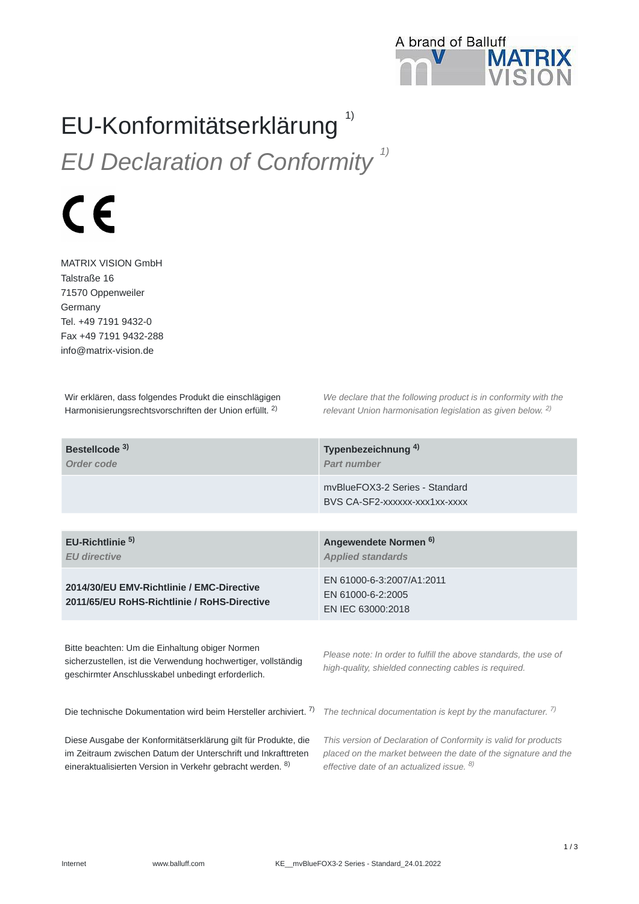

## EU-Konformitätserklärung 1)

*EU Declaration of Conformity 1)*



MATRIX VISION GmbH Talstraße 16 71570 Oppenweiler Germany Tel. +49 7191 9432-0 Fax +49 7191 9432-288 info@matrix-vision.de

Wir erklären, dass folgendes Produkt die einschlägigen Harmonisierungsrechtsvorschriften der Union erfüllt. <sup>2)</sup>

*We declare that the following product is in conformity with the relevant Union harmonisation legislation as given below.*  2) *2)*

| Bestellcode <sup>3)</sup><br>Order code                                                                                                                                | Typenbezeichnung <sup>4)</sup><br><b>Part number</b>                                                                      |
|------------------------------------------------------------------------------------------------------------------------------------------------------------------------|---------------------------------------------------------------------------------------------------------------------------|
|                                                                                                                                                                        | myBlueFOX3-2 Series - Standard<br>BVS CA-SF2-XXXXXX-XXX1XX-XXXX                                                           |
|                                                                                                                                                                        |                                                                                                                           |
| EU-Richtlinie <sup>5</sup><br><b>EU</b> directive                                                                                                                      | Angewendete Normen <sup>6)</sup><br><b>Applied standards</b>                                                              |
| 2014/30/EU EMV-Richtlinie / EMC-Directive<br>2011/65/EU RoHS-Richtlinie / RoHS-Directive                                                                               | EN 61000-6-3:2007/A1:2011<br>EN 61000-6-2:2005<br>EN IEC 63000:2018                                                       |
| Bitte beachten: Um die Einhaltung obiger Normen<br>sicherzustellen, ist die Verwendung hochwertiger, vollständig<br>geschirmter Anschlusskabel unbedingt erforderlich. | Please note: In order to fulfill the above standards, the use of<br>high-quality, shielded connecting cables is required. |

Die technische Dokumentation wird beim Hersteller archiviert. 7)

Diese Ausgabe der Konformitätserklärung gilt für Produkte, die im Zeitraum zwischen Datum der Unterschrift und Inkrafttreten eineraktualisierten Version in Verkehr gebracht werden. <sup>8)</sup>

*The technical documentation is kept by the manufacturer. 7)*

*This version of Declaration of Conformity is valid for products placed on the market between the date of the signature and the effective date of an actualized issue. 8)*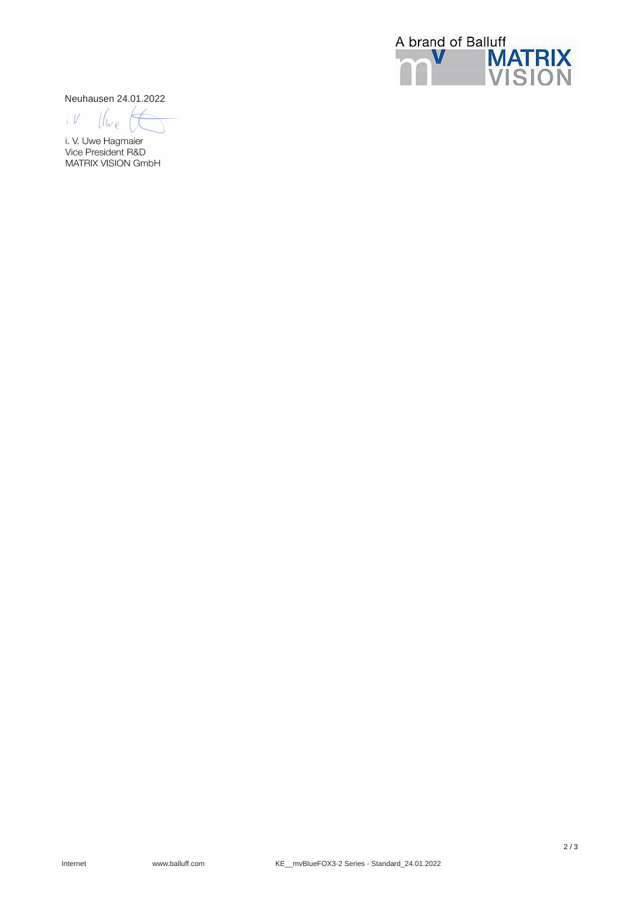

Neuhausen 24.01.2022

 $i. V$  $\iota$ 

i. V. Uwe Hagmaier Vice President R&D MATRIX VISION GmbH